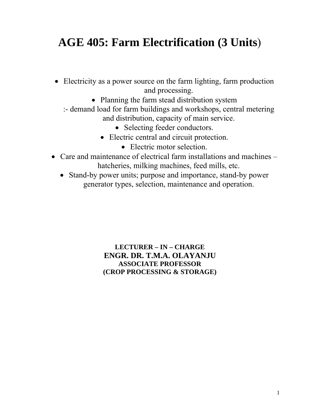# **AGE 405: Farm Electrification (3 Units**)

- Electricity as a power source on the farm lighting, farm production and processing.
	- Planning the farm stead distribution system
	- :- demand load for farm buildings and workshops, central metering and distribution, capacity of main service.
		- Selecting feeder conductors.
		- Electric central and circuit protection.
			- Electric motor selection.
- Care and maintenance of electrical farm installations and machines hatcheries, milking machines, feed mills, etc.
	- Stand-by power units; purpose and importance, stand-by power generator types, selection, maintenance and operation.

### **LECTURER – IN – CHARGE ENGR. DR. T.M.A. OLAYANJU ASSOCIATE PROFESSOR (CROP PROCESSING & STORAGE)**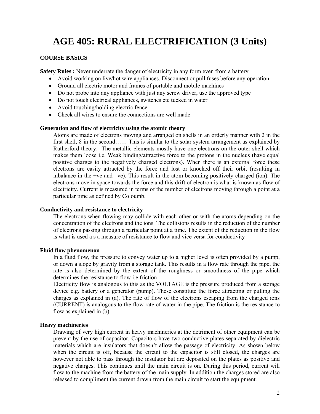# **AGE 405: RURAL ELECTRIFICATION (3 Units)**

### **COURSE BASICS**

**Safety Rules :** Never underrate the danger of electricity in any form even from a battery

- Avoid working on live/hot wire appliances. Disconnect or pull fuses before any operation
- Ground all electric motor and frames of portable and mobile machines
- Do not probe into any appliance with just any screw driver, use the approved type
- Do not touch electrical appliances, switches etc tucked in water
- Avoid touching/holding electric fence
- Check all wires to ensure the connections are well made

### **Generation and flow of electricity using the atomic theory**

Atoms are made of electrons moving and arranged on shells in an orderly manner with 2 in the first shell, 8 in the second…… This is similar to the solar system arrangement as explained by Rutherford theory. The metallic elements mostly have one electrons on the outer shell which makes them loose i.e. Weak binding/attractive force to the protons in the nucleus (have equal positive charges to the negatively charged electrons). When there is an external force these electrons are easily attracted by the force and lost or knocked off their orbit (resulting in inbalance in the +ve and –ve). This result in the atom becoming positively charged (ion). The electrons move in space towards the force and this drift of electron is what is known as flow of electricity. Current is measured in terms of the number of electrons moving through a point at a particular time as defined by Coloumb.

#### **Conductivity and resistance to electricity**

 The electrons when flowing may collide with each other or with the atoms depending on the concentration of the electrons and the ions. The collisions results in the reduction of the number of electrons passing through a particular point at a time. The extent of the reduction in the flow is what is used a s a measure of resistance to flow and vice versa for conductivity

#### **Fluid flow phenomenon**

In a fluid flow, the pressure to convey water up to a higher level is often provided by a pump, or down a slope by gravity from a storage tank. This results in a flow rate through the pipe, the rate is also determined by the extent of the roughness or smoothness of the pipe which determines the resistance to flow i.e friction

 Electricity flow is analogous to this as the VOLTAGE is the pressure produced from a storage device e.g. battery or a generator (pump). These constitute the force attracting or pulling the charges as explained in (a). The rate of flow of the electrons escaping from the charged ions (CURRENT) is analogous to the flow rate of water in the pipe. The friction is the resistance to flow as explained in (b)

### **Heavy machineries**

 Drawing of very high current in heavy machineries at the detriment of other equipment can be prevent by the use of capacitor. Capacitors have two conductive plates separated by dielectric materials which are insulators that doesn't allow the passage of electricity. As shown below when the circuit is off, because the circuit to the capacitor is still closed, the charges are however not able to pass through the insulator but are deposited on the plates as positive and negative charges. This continues until the main circuit is on. During this period, current will flow to the machine from the battery of the main supply. In addition the charges stored are also released to compliment the current drawn from the main circuit to start the equipment.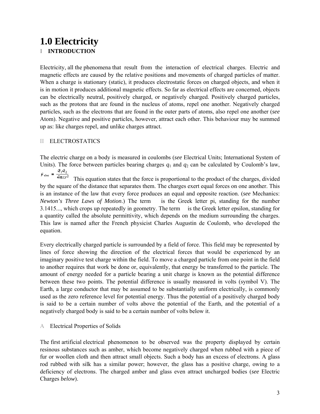# **1.0 Electricity I INTRODUCTION**

Electricity, all the phenomena that result from the interaction of electrical charges. Electric and magnetic effects are caused by the relative positions and movements of charged particles of matter. When a charge is stationary (static), it produces electrostatic forces on charged objects, and when it is in motion it produces additional magnetic effects. So far as electrical effects are concerned, objects can be electrically neutral, positively charged, or negatively charged. Positively charged particles, such as the protons that are found in the nucleus of atoms, repel one another. Negatively charged particles, such as the electrons that are found in the outer parts of atoms, also repel one another (*see* Atom). Negative and positive particles, however, attract each other. This behaviour may be summed up as: like charges repel, and unlike charges attract.

### II ELECTROSTATICS

The electric charge on a body is measured in coulombs (*see* Electrical Units; International System of Units). The force between particles bearing charges  $q_1$  and  $q_2$  can be calculated by Coulomb's law,  $F_{\text{elec}} = \frac{q_1 q_2}{4 \pi \varepsilon r^2}$ 

This equation states that the force is proportional to the product of the charges, divided by the square of the distance that separates them. The charges exert equal forces on one another. This is an instance of the law that every force produces an equal and opposite reaction. (*see* Mechanics: *Newton's Three Laws of Motion*.) The term is the Greek letter pi, standing for the number 3.1415..., which crops up repeatedly in geometry. The term is the Greek letter epsilon, standing for a quantity called the absolute permittivity, which depends on the medium surrounding the charges. This law is named after the French physicist Charles Augustin de Coulomb, who developed the equation.

Every electrically charged particle is surrounded by a field of force. This field may be represented by lines of force showing the direction of the electrical forces that would be experienced by an imaginary positive test charge within the field. To move a charged particle from one point in the field to another requires that work be done or, equivalently, that energy be transferred to the particle. The amount of energy needed for a particle bearing a unit charge is known as the potential difference between these two points. The potential difference is usually measured in volts (symbol V). The Earth, a large conductor that may be assumed to be substantially uniform electrically, is commonly used as the zero reference level for potential energy. Thus the potential of a positively charged body is said to be a certain number of volts above the potential of the Earth, and the potential of a negatively charged body is said to be a certain number of volts below it.

A Electrical Properties of Solids

The first artificial electrical phenomenon to be observed was the property displayed by certain resinous substances such as amber, which become negatively charged when rubbed with a piece of fur or woollen cloth and then attract small objects. Such a body has an excess of electrons. A glass rod rubbed with silk has a similar power; however, the glass has a positive charge, owing to a deficiency of electrons. The charged amber and glass even attract uncharged bodies (*see* Electric Charges *below*).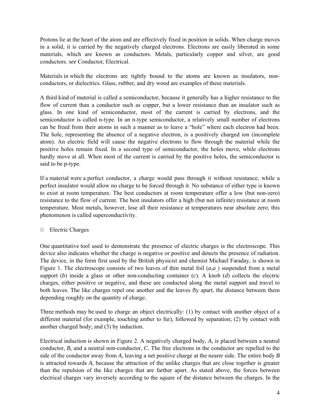Protons lie at the heart of the atom and are effectively fixed in position in solids. When charge moves in a solid, it is carried by the negatively charged electrons. Electrons are easily liberated in some materials, which are known as conductors. Metals, particularly copper and silver, are good conductors. *see* Conductor, Electrical.

Materials in which the electrons are tightly bound to the atoms are known as insulators, nonconductors, or dielectrics. Glass, rubber, and dry wood are examples of these materials.

A third kind of material is called a semiconductor, because it generally has a higher resistance to the flow of current than a conductor such as copper, but a lower resistance than an insulator such as glass. In one kind of semiconductor, most of the current is carried by electrons, and the semiconductor is called n-type. In an n-type semiconductor, a relatively small number of electrons can be freed from their atoms in such a manner as to leave a "hole" where each electron had been. The hole, representing the absence of a negative electron, is a positively charged ion (incomplete atom). An electric field will cause the negative electrons to flow through the material while the positive holes remain fixed. In a second type of semiconductor, the holes move, while electrons hardly move at all. When most of the current is carried by the positive holes, the semiconductor is said to be p-type.

If a material were a perfect conductor, a charge would pass through it without resistance, while a perfect insulator would allow no charge to be forced through it. No substance of either type is known to exist at room temperature. The best conductors at room temperature offer a low (but non-zero) resistance to the flow of current. The best insulators offer a high (but not infinite) resistance at room temperature. Most metals, however, lose all their resistance at temperatures near absolute zero; this phenomenon is called superconductivity.

### B Electric Charges

One quantitative tool used to demonstrate the presence of electric charges is the electroscope. This device also indicates whether the charge is negative or positive and detects the presence of radiation. The device, in the form first used by the British physicist and chemist Michael Faraday, is shown in Figure 1. The electroscope consists of two leaves of thin metal foil  $(a,a)$  suspended from a metal support (b) inside a glass or other non-conducting container (c). A knob (d) collects the electric charges, either positive or negative, and these are conducted along the metal support and travel to both leaves. The like charges repel one another and the leaves fly apart, the distance between them depending roughly on the quantity of charge.

Three methods may be used to charge an object electrically: (1) by contact with another object of a different material (for example, touching amber to fur), followed by separation; (2) by contact with another charged body; and (3) by induction.

Electrical induction is shown in Figure 2. A negatively charged body, *A,* is placed between a neutral conductor, *B,* and a neutral non-conductor, *C.* The free electrons in the conductor are repelled to the side of the conductor away from *A,* leaving a net positive charge at the nearer side. The entire body *B* is attracted towards *A,* because the attraction of the unlike charges that are close together is greater than the repulsion of the like charges that are farther apart. As stated above, the forces between electrical charges vary inversely according to the square of the distance between the charges. In the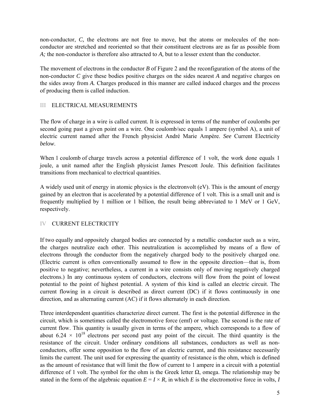non-conductor, *C,* the electrons are not free to move, but the atoms or molecules of the nonconductor are stretched and reoriented so that their constituent electrons are as far as possible from *A;* the non-conductor is therefore also attracted to *A,* but to a lesser extent than the conductor.

The movement of electrons in the conductor *B* of Figure 2 and the reconfiguration of the atoms of the non-conductor *C* give these bodies positive charges on the sides nearest *A* and negative charges on the sides away from *A.* Charges produced in this manner are called induced charges and the process of producing them is called induction.

### III ELECTRICAL MEASUREMENTS

The flow of charge in a wire is called current*.* It is expressed in terms of the number of coulombs per second going past a given point on a wire. One coulomb/sec equals 1 ampere (symbol A), a unit of electric current named after the French physicist André Marie Ampère. *See* Current Electricity *below*.

When 1 coulomb of charge travels across a potential difference of 1 volt, the work done equals 1 joule, a unit named after the English physicist James Prescott Joule. This definition facilitates transitions from mechanical to electrical quantities.

A widely used unit of energy in atomic physics is the electronvolt (eV). This is the amount of energy gained by an electron that is accelerated by a potential difference of 1 volt. This is a small unit and is frequently multiplied by 1 million or 1 billion, the result being abbreviated to 1 MeV or 1 GeV, respectively.

### IV CURRENT ELECTRICITY

If two equally and oppositely charged bodies are connected by a metallic conductor such as a wire, the charges neutralize each other. This neutralization is accomplished by means of a flow of electrons through the conductor from the negatively charged body to the positively charged one. (Electric current is often conventionally assumed to flow in the opposite direction—that is, from positive to negative; nevertheless, a current in a wire consists only of moving negatively charged electrons.) In any continuous system of conductors, electrons will flow from the point of lowest potential to the point of highest potential. A system of this kind is called an electric circuit. The current flowing in a circuit is described as direct current (DC) if it flows continuously in one direction, and as alternating current (AC) if it flows alternately in each direction.

Three interdependent quantities characterize direct current. The first is the potential difference in the circuit, which is sometimes called the electromotive force (emf) or voltage. The second is the rate of current flow. This quantity is usually given in terms of the ampere, which corresponds to a flow of about  $6.24 \times 10^{18}$  electrons per second past any point of the circuit. The third quantity is the resistance of the circuit. Under ordinary conditions all substances, conductors as well as nonconductors, offer some opposition to the flow of an electric current, and this resistance necessarily limits the current. The unit used for expressing the quantity of resistance is the ohm, which is defined as the amount of resistance that will limit the flow of current to 1 ampere in a circuit with a potential difference of 1 volt. The symbol for the ohm is the Greek letter  $\Omega$ , omega. The relationship may be stated in the form of the algebraic equation  $E = I \times R$ , in which *E* is the electromotive force in volts, *I*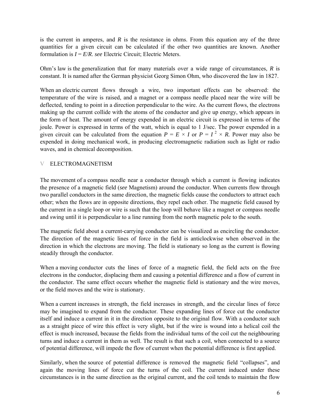is the current in amperes, and *R* is the resistance in ohms. From this equation any of the three quantities for a given circuit can be calculated if the other two quantities are known. Another formulation is  $I = E/R$ . *see* Electric Circuit: Electric Meters.

Ohm's law is the generalization that for many materials over a wide range of circumstances, *R* is constant. It is named after the German physicist Georg Simon Ohm, who discovered the law in 1827.

When an electric current flows through a wire, two important effects can be observed: the temperature of the wire is raised, and a magnet or a compass needle placed near the wire will be deflected, tending to point in a direction perpendicular to the wire. As the current flows, the electrons making up the current collide with the atoms of the conductor and give up energy, which appears in the form of heat. The amount of energy expended in an electric circuit is expressed in terms of the joule. Power is expressed in terms of the watt, which is equal to 1 J/sec. The power expended in a given circuit can be calculated from the equation  $P = E \times I$  or  $P = I^2 \times R$ . Power may also be expended in doing mechanical work, in producing electromagnetic radiation such as light or radio waves, and in chemical decomposition.

### V ELECTROMAGNETISM

The movement of a compass needle near a conductor through which a current is flowing indicates the presence of a magnetic field (*see* Magnetism) around the conductor. When currents flow through two parallel conductors in the same direction, the magnetic fields cause the conductors to attract each other; when the flows are in opposite directions, they repel each other. The magnetic field caused by the current in a single loop or wire is such that the loop will behave like a magnet or compass needle and swing until it is perpendicular to a line running from the north magnetic pole to the south.

The magnetic field about a current-carrying conductor can be visualized as encircling the conductor. The direction of the magnetic lines of force in the field is anticlockwise when observed in the direction in which the electrons are moving. The field is stationary so long as the current is flowing steadily through the conductor.

When a moving conductor cuts the lines of force of a magnetic field, the field acts on the free electrons in the conductor, displacing them and causing a potential difference and a flow of current in the conductor. The same effect occurs whether the magnetic field is stationary and the wire moves, or the field moves and the wire is stationary.

When a current increases in strength, the field increases in strength, and the circular lines of force may be imagined to expand from the conductor. These expanding lines of force cut the conductor itself and induce a current in it in the direction opposite to the original flow. With a conductor such as a straight piece of wire this effect is very slight, but if the wire is wound into a helical coil the effect is much increased, because the fields from the individual turns of the coil cut the neighbouring turns and induce a current in them as well. The result is that such a coil, when connected to a source of potential difference, will impede the flow of current when the potential difference is first applied.

Similarly, when the source of potential difference is removed the magnetic field "collapses", and again the moving lines of force cut the turns of the coil. The current induced under these circumstances is in the same direction as the original current, and the coil tends to maintain the flow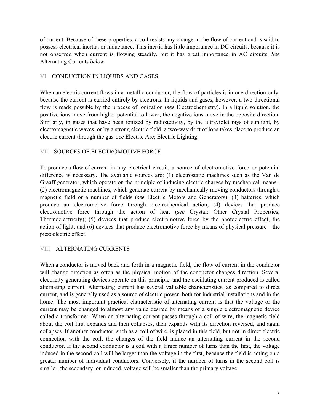of current. Because of these properties, a coil resists any change in the flow of current and is said to possess electrical inertia, or inductance. This inertia has little importance in DC circuits, because it is not observed when current is flowing steadily, but it has great importance in AC circuits. *See*  Alternating Currents *below*.

### VI CONDUCTION IN LIQUIDS AND GASES

When an electric current flows in a metallic conductor, the flow of particles is in one direction only, because the current is carried entirely by electrons. In liquids and gases, however, a two-directional flow is made possible by the process of ionization (*see* Electrochemistry). In a liquid solution, the positive ions move from higher potential to lower; the negative ions move in the opposite direction. Similarly, in gases that have been ionized by radioactivity, by the ultraviolet rays of sunlight, by electromagnetic waves, or by a strong electric field, a two-way drift of ions takes place to produce an electric current through the gas. *see* Electric Arc; Electric Lighting.

### VII SOURCES OF ELECTROMOTIVE FORCE

To produce a flow of current in any electrical circuit, a source of electromotive force or potential difference is necessary. The available sources are: (1) electrostatic machines such as the Van de Graaff generator, which operate on the principle of inducing electric charges by mechanical means ; (2) electromagnetic machines, which generate current by mechanically moving conductors through a magnetic field or a number of fields (*see* Electric Motors and Generators); (3) batteries, which produce an electromotive force through electrochemical action; (4) devices that produce electromotive force through the action of heat (*see* Crystal: Other Crystal Properties; Thermoelectricity); (5) devices that produce electromotive force by the photoelectric effect, the action of light; and (6) devices that produce electromotive force by means of physical pressure—the piezoelectric effect.

### VIII ALTERNATING CURRENTS

When a conductor is moved back and forth in a magnetic field, the flow of current in the conductor will change direction as often as the physical motion of the conductor changes direction. Several electricity-generating devices operate on this principle, and the oscillating current produced is called alternating current. Alternating current has several valuable characteristics, as compared to direct current, and is generally used as a source of electric power, both for industrial installations and in the home. The most important practical characteristic of alternating current is that the voltage or the current may be changed to almost any value desired by means of a simple electromagnetic device called a transformer. When an alternating current passes through a coil of wire, the magnetic field about the coil first expands and then collapses, then expands with its direction reversed, and again collapses. If another conductor, such as a coil of wire, is placed in this field, but not in direct electric connection with the coil, the changes of the field induce an alternating current in the second conductor. If the second conductor is a coil with a larger number of turns than the first, the voltage induced in the second coil will be larger than the voltage in the first, because the field is acting on a greater number of individual conductors. Conversely, if the number of turns in the second coil is smaller, the secondary, or induced, voltage will be smaller than the primary voltage.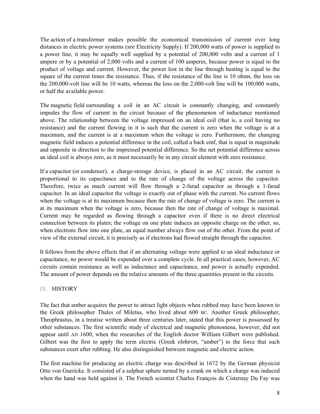The action of a transformer makes possible the economical transmission of current over long distances in electric power systems (*see* Electricity Supply). If 200,000 watts of power is supplied to a power line, it may be equally well supplied by a potential of 200,000 volts and a current of 1 ampere or by a potential of 2,000 volts and a current of 100 amperes, because power is equal to the product of voltage and current. However, the power lost in the line through heating is equal to the square of the current times the resistance. Thus, if the resistance of the line is 10 ohms, the loss on the 200,000-volt line will be 10 watts, whereas the loss on the 2,000-volt line will be 100,000 watts, or half the available power.

The magnetic field surrounding a coil in an AC circuit is constantly changing, and constantly impedes the flow of current in the circuit because of the phenomenon of inductance mentioned above. The relationship between the voltage impressed on an ideal coil (that is, a coil having no resistance) and the current flowing in it is such that the current is zero when the voltage is at a maximum, and the current is at a maximum when the voltage is zero. Furthermore, the changing magnetic field induces a potential difference in the coil, called a back emf, that is equal in magnitude and opposite in direction to the impressed potential difference. So the net potential difference across an ideal coil is always zero, as it must necessarily be in any circuit element with zero resistance.

If a capacitor (or condenser), a charge-storage device, is placed in an AC circuit, the current is proportional to its capacitance and to the rate of change of the voltage across the capacitor. Therefore, twice as much current will flow through a 2-farad capacitor as through a 1-farad capacitor. In an ideal capacitor the voltage is exactly out of phase with the current. No current flows when the voltage is at its maximum because then the rate of change of voltage is zero. The current is at its maximum when the voltage is zero, because then the rate of change of voltage is maximal. Current may be regarded as flowing through a capacitor even if there is no direct electrical connection between its plates; the voltage on one plate induces an opposite charge on the other, so, when electrons flow into one plate, an equal number always flow out of the other. From the point of view of the external circuit, it is precisely as if electrons had flowed straight through the capacitor.

It follows from the above effects that if an alternating voltage were applied to an ideal inductance or capacitance, no power would be expended over a complete cycle. In all practical cases, however, AC circuits contain resistance as well as inductance and capacitance, and power is actually expended. The amount of power depends on the relative amounts of the three quantities present in the circuits.

### IX HISTORY

The fact that amber acquires the power to attract light objects when rubbed may have been known to the Greek philosopher Thales of Miletus, who lived about 600 BC. Another Greek philosopher, Theophrastus, in a treatise written about three centuries later, stated that this power is possessed by other substances. The first scientific study of electrical and magnetic phenomena, however, did not appear until AD 1600, when the researches of the English doctor William Gilbert were published. Gilbert was the first to apply the term electric (Greek *elektron,* "amber") to the force that such substances exert after rubbing. He also distinguished between magnetic and electric action.

The first machine for producing an electric charge was described in 1672 by the German physicist Otto von Guericke. It consisted of a sulphur sphere turned by a crank on which a charge was induced when the hand was held against it. The French scientist Charles François de Cisternay Du Fay was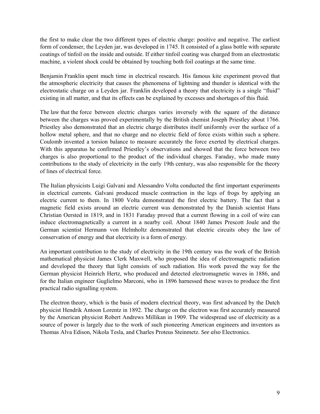the first to make clear the two different types of electric charge: positive and negative. The earliest form of condenser, the Leyden jar, was developed in 1745. It consisted of a glass bottle with separate coatings of tinfoil on the inside and outside. If either tinfoil coating was charged from an electrostatic machine, a violent shock could be obtained by touching both foil coatings at the same time.

Benjamin Franklin spent much time in electrical research. His famous kite experiment proved that the atmospheric electricity that causes the phenomena of lightning and thunder is identical with the electrostatic charge on a Leyden jar. Franklin developed a theory that electricity is a single "fluid" existing in all matter, and that its effects can be explained by excesses and shortages of this fluid.

The law that the force between electric charges varies inversely with the square of the distance between the charges was proved experimentally by the British chemist Joseph Priestley about 1766. Priestley also demonstrated that an electric charge distributes itself uniformly over the surface of a hollow metal sphere, and that no charge and no electric field of force exists within such a sphere. Coulomb invented a torsion balance to measure accurately the force exerted by electrical charges. With this apparatus he confirmed Priestley's observations and showed that the force between two charges is also proportional to the product of the individual charges. Faraday, who made many contributions to the study of electricity in the early 19th century, was also responsible for the theory of lines of electrical force.

The Italian physicists Luigi Galvani and Alessandro Volta conducted the first important experiments in electrical currents. Galvani produced muscle contraction in the legs of frogs by applying an electric current to them. In 1800 Volta demonstrated the first electric battery. The fact that a magnetic field exists around an electric current was demonstrated by the Danish scientist Hans Christian Oersted in 1819, and in 1831 Faraday proved that a current flowing in a coil of wire can induce electromagnetically a current in a nearby coil. About 1840 James Prescott Joule and the German scientist Hermann von Helmholtz demonstrated that electric circuits obey the law of conservation of energy and that electricity is a form of energy.

An important contribution to the study of electricity in the 19th century was the work of the British mathematical physicist James Clerk Maxwell, who proposed the idea of electromagnetic radiation and developed the theory that light consists of such radiation. His work paved the way for the German physicist Heinrich Hertz, who produced and detected electromagnetic waves in 1886, and for the Italian engineer Guglielmo Marconi, who in 1896 harnessed these waves to produce the first practical radio signalling system.

The electron theory, which is the basis of modern electrical theory, was first advanced by the Dutch physicist Hendrik Antoon Lorentz in 1892. The charge on the electron was first accurately measured by the American physicist Robert Andrews Millikan in 1909. The widespread use of electricity as a source of power is largely due to the work of such pioneering American engineers and inventors as Thomas Alva Edison, Nikola Tesla, and Charles Proteus Steinmetz. *See also* Electronics.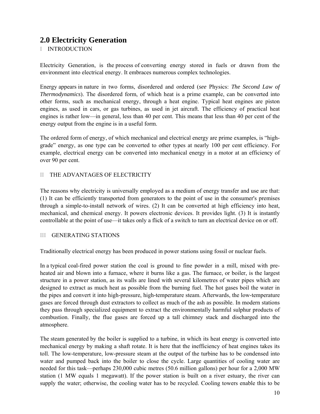## **2.0 Electricity Generation**

### I INTRODUCTION

Electricity Generation, is the process of converting energy stored in fuels or drawn from the environment into electrical energy. It embraces numerous complex technologies.

Energy appears in nature in two forms, disordered and ordered (*see* Physics: *The Second Law of Thermodynamics*). The disordered form, of which heat is a prime example, can be converted into other forms, such as mechanical energy, through a heat engine. Typical heat engines are piston engines, as used in cars, or gas turbines, as used in jet aircraft. The efficiency of practical heat engines is rather low—in general, less than 40 per cent. This means that less than 40 per cent of the energy output from the engine is in a useful form.

The ordered form of energy, of which mechanical and electrical energy are prime examples, is "highgrade" energy, as one type can be converted to other types at nearly 100 per cent efficiency. For example, electrical energy can be converted into mechanical energy in a motor at an efficiency of over 90 per cent.

### II THE ADVANTAGES OF ELECTRICITY

The reasons why electricity is universally employed as a medium of energy transfer and use are that: (1) It can be efficiently transported from generators to the point of use in the consumer's premises through a simple-to-install network of wires. (2) It can be converted at high efficiency into heat, mechanical, and chemical energy. It powers electronic devices. It provides light. (3) It is instantly controllable at the point of use—it takes only a flick of a switch to turn an electrical device on or off.

### III GENERATING STATIONS

Traditionally electrical energy has been produced in power stations using fossil or nuclear fuels.

In a typical coal-fired power station the coal is ground to fine powder in a mill, mixed with preheated air and blown into a furnace, where it burns like a gas. The furnace, or boiler, is the largest structure in a power station, as its walls are lined with several kilometres of water pipes which are designed to extract as much heat as possible from the burning fuel. The hot gases boil the water in the pipes and convert it into high-pressure, high-temperature steam. Afterwards, the low-temperature gases are forced through dust extractors to collect as much of the ash as possible. In modern stations they pass through specialized equipment to extract the environmentally harmful sulphur products of combustion. Finally, the flue gases are forced up a tall chimney stack and discharged into the atmosphere.

The steam generated by the boiler is supplied to a turbine, in which its heat energy is converted into mechanical energy by making a shaft rotate. It is here that the inefficiency of heat engines takes its toll. The low-temperature, low-pressure steam at the output of the turbine has to be condensed into water and pumped back into the boiler to close the cycle. Large quantities of cooling water are needed for this task—perhaps 230,000 cubic metres (50.6 million gallons) per hour for a 2,000 MW station (1 MW equals 1 megawatt). If the power station is built on a river estuary, the river can supply the water; otherwise, the cooling water has to be recycled. Cooling towers enable this to be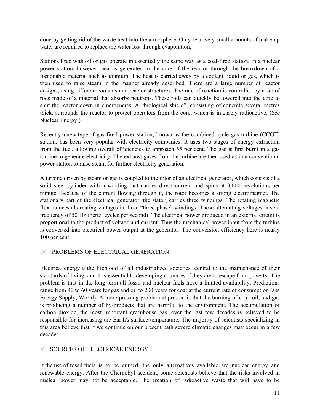done by getting rid of the waste heat into the atmosphere. Only relatively small amounts of make-up water are required to replace the water lost through evaporation.

Stations fired with oil or gas operate in essentially the same way as a coal-fired station. In a nuclear power station, however, heat is generated in the core of the reactor through the breakdown of a fissionable material such as uranium. The heat is carried away by a coolant liquid or gas, which is then used to raise steam in the manner already described. There are a large number of reactor designs, using different coolants and reactor structures. The rate of reaction is controlled by a set of rods made of a material that absorbs neutrons. These rods can quickly be lowered into the core to shut the reactor down in emergencies. A "biological shield", consisting of concrete several metres thick, surrounds the reactor to protect operators from the core, which is intensely radioactive. (*See*  Nuclear Energy.)

Recently a new type of gas-fired power station, known as the combined-cycle gas turbine (CCGT) station, has been very popular with electricity companies. It uses two stages of energy extraction from the fuel, allowing overall efficiencies to approach 55 per cent. The gas is first burnt in a gas turbine to generate electricity. The exhaust gases from the turbine are then used as in a conventional power station to raise steam for further electricity generation.

A turbine driven by steam or gas is coupled to the rotor of an electrical generator, which consists of a solid steel cylinder with a winding that carries direct current and spins at 3,000 revolutions per minute. Because of the current flowing through it, the rotor becomes a strong electromagnet. The stationary part of the electrical generator, the stator, carries three windings. The rotating magnetic flux induces alternating voltages in these "three-phase" windings. These alternating voltages have a frequency of 50 Hz (hertz, cycles per second). The electrical power produced in an external circuit is proportional to the product of voltage and current. Thus the mechanical power input from the turbine is converted into electrical power output at the generator. The conversion efficiency here is nearly 100 per cent.

### IV PROBLEMS OF ELECTRICAL GENERATION

Electrical energy is the lifeblood of all industrialized societies, central to the maintenance of their standards of living, and it is essential to developing countries if they are to escape from poverty. The problem is that in the long term all fossil and nuclear fuels have a limited availability. Predictions range from 40 to 60 years for gas and oil to 200 years for coal at the current rate of consumption (*see*  Energy Supply, World). A more pressing problem at present is that the burning of coal, oil, and gas is producing a number of by-products that are harmful to the environment. The accumulation of carbon dioxide, the most important greenhouse gas, over the last few decades is believed to be responsible for increasing the Earth's surface temperature. The majority of scientists specializing in this area believe that if we continue on our present path severe climatic changes may occur in a few decades.

### V SOURCES OF ELECTRICAL ENERGY

If the use of fossil fuels is to be curbed, the only alternatives available are nuclear energy and renewable energy. After the Chernobyl accident, some scientists believe that the risks involved in nuclear power may not be acceptable. The creation of radioactive waste that will have to be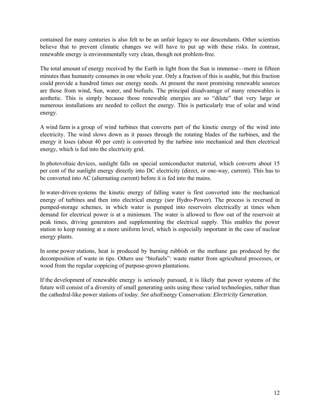contained for many centuries is also felt to be an unfair legacy to our descendants. Other scientists believe that to prevent climatic changes we will have to put up with these risks. In contrast, renewable energy is environmentally very clean, though not problem-free.

The total amount of energy received by the Earth in light from the Sun is immense—more in fifteen minutes than humanity consumes in one whole year. Only a fraction of this is usable, but this fraction could provide a hundred times our energy needs. At present the most promising renewable sources are those from wind, Sun, water, and biofuels. The principal disadvantage of many renewables is aesthetic. This is simply because those renewable energies are so "dilute" that very large or numerous installations are needed to collect the energy. This is particularly true of solar and wind energy.

A wind farm is a group of wind turbines that converts part of the kinetic energy of the wind into electricity. The wind slows down as it passes through the rotating blades of the turbines, and the energy it loses (about 40 per cent) is converted by the turbine into mechanical and then electrical energy, which is fed into the electricity grid.

In photovoltaic devices, sunlight falls on special semiconductor material, which converts about 15 per cent of the sunlight energy directly into DC electricity (direct, or one-way, current). This has to be converted into AC (alternating current) before it is fed into the mains.

In water-driven systems the kinetic energy of falling water is first converted into the mechanical energy of turbines and then into electrical energy (*see* Hydro-Power). The process is reversed in pumped-storage schemes, in which water is pumped into reservoirs electrically at times when demand for electrical power is at a minimum. The water is allowed to flow out of the reservoir at peak times, driving generators and supplementing the electrical supply. This enables the power station to keep running at a more uniform level, which is especially important in the case of nuclear energy plants.

In some power stations, heat is produced by burning rubbish or the methane gas produced by the decomposition of waste in tips. Others use "biofuels": waste matter from agricultural processes, or wood from the regular coppicing of purpose-grown plantations.

If the development of renewable energy is seriously pursued, it is likely that power systems of the future will consist of a diversity of small generating units using these varied technologies, rather than the cathedral-like power stations of today. *See also*Energy Conservation: *Electricity Generation*.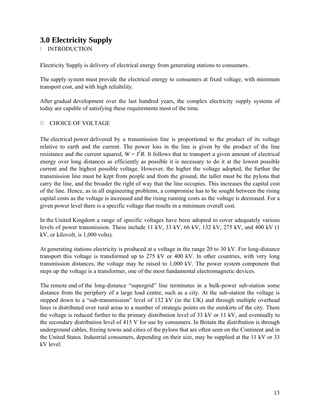# **3.0 Electricity Supply**

I INTRODUCTION

Electricity Supply is delivery of electrical energy from generating stations to consumers.

The supply system must provide the electrical energy to consumers at fixed voltage, with minimum transport cost, and with high reliability.

After gradual development over the last hundred years, the complex electricity supply systems of today are capable of satisfying these requirements most of the time.

### II CHOICE OF VOLTAGE

The electrical power delivered by a transmission line is proportional to the product of its voltage relative to earth and the current. The power loss in the line is given by the product of the line resistance and the current squared,  $W = I^2 R$ . It follows that to transport a given amount of electrical energy over long distances as efficiently as possible it is necessary to do it at the lowest possible current and the highest possible voltage. However, the higher the voltage adopted, the further the transmission line must be kept from people and from the ground, the taller must be the pylons that carry the line, and the broader the right of way that the line occupies. This increases the capital cost of the line. Hence, as in all engineering problems, a compromise has to be sought between the rising capital costs as the voltage is increased and the rising running costs as the voltage is decreased. For a given power level there is a specific voltage that results in a minimum overall cost.

In the United Kingdom a range of specific voltages have been adopted to cover adequately various levels of power transmission. These include 11 kV, 33 kV, 66 kV, 132 kV, 275 kV, and 400 kV (1 kV, or kilovolt, is 1,000 volts).

At generating stations electricity is produced at a voltage in the range 20 to 30 kV. For long-distance transport this voltage is transformed up to 275 kV or 400 kV. In other countries, with very long transmission distances, the voltage may be raised to 1,000 kV. The power system component that steps up the voltage is a transformer, one of the most fundamental electromagnetic devices.

The remote end of the long-distance "supergrid" line terminates in a bulk-power sub-station some distance from the periphery of a large load centre, such as a city. At the sub-station the voltage is stepped down to a "sub-transmission" level of 132 kV (in the UK) and through multiple overhead lines is distributed over rural areas to a number of strategic points on the outskirts of the city. There the voltage is reduced further to the primary distribution level of 33 kV or 11 kV, and eventually to the secondary distribution level of 415 V for use by consumers. In Britain the distribution is through underground cables, freeing towns and cities of the pylons that are often seen on the Continent and in the United States. Industrial consumers, depending on their size, may be supplied at the 11 kV or 33 kV level.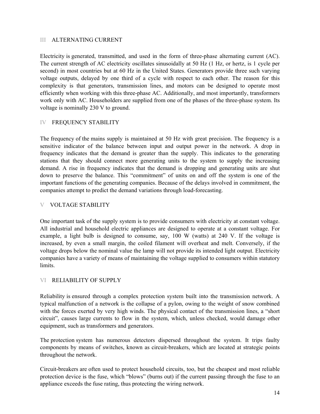### III ALTERNATING CURRENT

Electricity is generated, transmitted, and used in the form of three-phase alternating current (AC). The current strength of AC electricity oscillates sinusoidally at 50 Hz (1 Hz, or hertz, is 1 cycle per second) in most countries but at 60 Hz in the United States. Generators provide three such varying voltage outputs, delayed by one third of a cycle with respect to each other. The reason for this complexity is that generators, transmission lines, and motors can be designed to operate most efficiently when working with this three-phase AC. Additionally, and most importantly, transformers work only with AC. Householders are supplied from one of the phases of the three-phase system. Its voltage is nominally 230 V to ground.

### IV FREQUENCY STABILITY

The frequency of the mains supply is maintained at 50 Hz with great precision. The frequency is a sensitive indicator of the balance between input and output power in the network. A drop in frequency indicates that the demand is greater than the supply. This indicates to the generating stations that they should connect more generating units to the system to supply the increasing demand. A rise in frequency indicates that the demand is dropping and generating units are shut down to preserve the balance. This "commitment" of units on and off the system is one of the important functions of the generating companies. Because of the delays involved in commitment, the companies attempt to predict the demand variations through load-forecasting.

### V VOLTAGE STABILITY

One important task of the supply system is to provide consumers with electricity at constant voltage. All industrial and household electric appliances are designed to operate at a constant voltage. For example, a light bulb is designed to consume, say, 100 W (watts) at 240 V. If the voltage is increased, by even a small margin, the coiled filament will overheat and melt. Conversely, if the voltage drops below the nominal value the lamp will not provide its intended light output. Electricity companies have a variety of means of maintaining the voltage supplied to consumers within statutory **limits** 

### VI RELIABILITY OF SUPPLY

Reliability is ensured through a complex protection system built into the transmission network. A typical malfunction of a network is the collapse of a pylon, owing to the weight of snow combined with the forces exerted by very high winds. The physical contact of the transmission lines, a "short" circuit", causes large currents to flow in the system, which, unless checked, would damage other equipment, such as transformers and generators.

The protection system has numerous detectors dispersed throughout the system. It trips faulty components by means of switches, known as circuit-breakers, which are located at strategic points throughout the network.

Circuit-breakers are often used to protect household circuits, too, but the cheapest and most reliable protection device is the fuse, which "blows" (burns out) if the current passing through the fuse to an appliance exceeds the fuse rating, thus protecting the wiring network.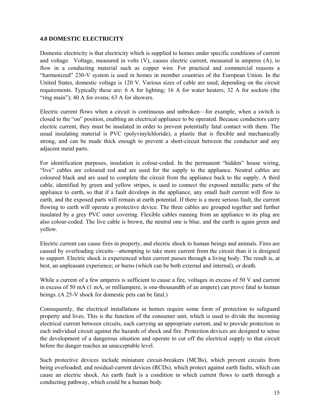### **4.0 DOMESTIC ELECTRICITY**

Domestic electricity is that electricity which is supplied to homes under specific conditions of current and voltage. Voltage, measured in volts (V), causes electric current, measured in amperes (A), to flow in a conducting material such as copper wire. For practical and commercial reasons a "harmonized" 230-V system is used in homes in member countries of the European Union. In the United States, domestic voltage is 120 V. Various sizes of cable are used, depending on the circuit requirements. Typically these are: 6 A for lighting; 16 A for water heaters; 32 A for sockets (the "ring main"); 40 A for ovens; 63 A for showers.

Electric current flows when a circuit is continuous and unbroken—for example, when a switch is closed to the "on" position, enabling an electrical appliance to be operated. Because conductors carry electric current, they must be insulated in order to prevent potentially fatal contact with them. The usual insulating material is PVC (polyvinylchloride), a plastic that is flexible and mechanically strong, and can be made thick enough to prevent a short-circuit between the conductor and any adjacent metal parts.

For identification purposes, insulation is colour-coded. In the permanent "hidden" house wiring, "live" cables are coloured red and are used for the supply to the appliance. Neutral cables are coloured black and are used to complete the circuit from the appliance back to the supply. A third cable, identified by green and yellow stripes, is used to connect the exposed metallic parts of the appliance to earth, so that if a fault develops in the appliance, any small fault current will flow to earth, and the exposed parts will remain at earth potential. If there is a more serious fault, the current flowing to earth will operate a protective device. The three cables are grouped together and further insulated by a grey PVC outer covering. Flexible cables running from an appliance to its plug are also colour-coded. The live cable is brown, the neutral one is blue, and the earth is again green and yellow.

Electric current can cause fires in property, and electric shock to human beings and animals. Fires are caused by overloading circuits—attempting to take more current from the circuit than it is designed to support. Electric shock is experienced when current passes through a living body. The result is, at best, an unpleasant experience; or burns (which can be both external and internal), or death.

While a current of a few amperes is sufficient to cause a fire, voltages in excess of 50 V and current in excess of 50 mA (1 mA, or milliampere, is one-thousandth of an ampere) can prove fatal to human beings. (A 25-V shock for domestic pets can be fatal.)

Consequently, the electrical installations in homes require some form of protection to safeguard property and lives. This is the function of the consumer unit, which is used to divide the incoming electrical current between circuits, each carrying an appropriate current, and to provide protection in each individual circuit against the hazards of shock and fire. Protection devices are designed to sense the development of a dangerous situation and operate to cut off the electrical supply to that circuit before the danger reaches an unacceptable level.

Such protective devices include miniature circuit-breakers (MCBs), which prevent circuits from being overloaded; and residual-current devices (RCDs), which protect against earth faults, which can cause an electric shock. An earth fault is a condition in which current flows to earth through a conducting pathway, which could be a human body.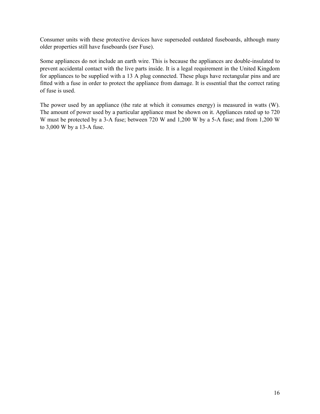Consumer units with these protective devices have superseded outdated fuseboards, although many older properties still have fuseboards (*see* Fuse).

Some appliances do not include an earth wire. This is because the appliances are double-insulated to prevent accidental contact with the live parts inside. It is a legal requirement in the United Kingdom for appliances to be supplied with a 13 A plug connected. These plugs have rectangular pins and are fitted with a fuse in order to protect the appliance from damage. It is essential that the correct rating of fuse is used.

The power used by an appliance (the rate at which it consumes energy) is measured in watts (W). The amount of power used by a particular appliance must be shown on it. Appliances rated up to 720 W must be protected by a 3-A fuse; between 720 W and 1,200 W by a 5-A fuse; and from 1,200 W to 3,000 W by a 13-A fuse.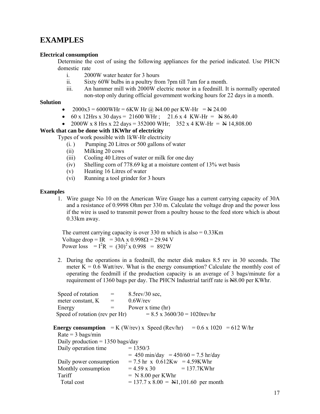## **EXAMPLES**

### **Electrical consumption**

Determine the cost of using the following appliances for the period indicated. Use PHCN domestic rate

- i. 2000W water heater for 3 hours
- ii. Sixty 60W bulbs in a poultry from 7pm till 7am for a month.
- iii. An hammer mill with 2000W electric motor in a feedmill. It is normally operated non-stop only during official government working hours for 22 days in a month.

### **Solution**

- $2000x3 = 6000W$ Hr = 6KW Hr @  $\cancel{\text{N4}}$ .00 per KW-Hr =  $\cancel{\text{N}}$  24.00
- 60 x 12Hrs x 30 days = 21600 WHr ; 21.6 x 4 KW-Hr =  $\cancel{\text{N}}$  86.40
- 2000W x 8 Hrs x 22 days = 352000 WHr; 352 x 4 KW-Hr =  $\frac{\text{N}}{4}$  14,808.00

### **Work that can be done with 1KWhr of electricity**

Types of work possible with 1kW-Hr electricity

- (i. ) Pumping 20 Litres or 500 gallons of water
- (ii) Milking 20 cows
- (iii) Cooling 40 Litres of water or milk for one day
- (iv) Shelling corn of 778.69 kg at a moisture content of 13% wet basis
- (v) Heating 16 Litres of water
- (vi) Running a tool grinder for 3 hours

#### **Examples**

1. Wire guage No 10 on the American Wire Guage has a current carrying capacity of 30A and a resistance of 0.9998 Ohm per 330 m. Calculate the voltage drop and the power loss if the wire is used to transmit power from a poultry house to the feed store which is about 0.33km away.

The current carrying capacity is over 330 m which is  $also = 0.33$ Km Voltage drop = IR = 30A x  $0.998\Omega$  = 29.94 V Power loss  $I = I^2 R = (30)^2 \times 0.998 = 892W$ 

2. During the operations in a feedmill, the meter disk makes 8.5 rev in 30 seconds. The meter  $K = 0.6$  Watt/rev. What is the energy consumption? Calculate the monthly cost of operating the feedmill if the production capacity is an average of 3 bags/minute for a requirement of 1360 bags per day. The PHCN Industrial tariff rate is N8.00 per KWhr.

| Speed of rotation                                        | $=$          | $8.5$ rev $/30$ sec,                        |                                      |  |
|----------------------------------------------------------|--------------|---------------------------------------------|--------------------------------------|--|
| meter constant, K                                        | $=$ $\qquad$ | $0.6W$ /rev                                 |                                      |  |
| Energy                                                   | $=$          | Power x time (hr)                           |                                      |  |
| Speed of rotation (rev per Hr)                           |              |                                             | $= 8.5 \times 3600/30 = 1020$ rev/hr |  |
|                                                          |              |                                             |                                      |  |
| <b>Energy consumption</b> = $K$ (W/rev) x Speed (Rev/hr) |              |                                             | $= 0.6 \times 1020 = 612$ W/hr       |  |
| $Rate = 3 \text{ bags/min}$                              |              |                                             |                                      |  |
| Daily production = $1350$ bags/day                       |              |                                             |                                      |  |
| Daily operation time                                     |              | $= 1350/3$                                  |                                      |  |
|                                                          |              | $= 450$ min/day $= 450/60 = 7.5$ hr/day     |                                      |  |
| Daily power consumption                                  |              | $= 7.5$ hr x 0.612Kw $= 4.59$ KWhr          |                                      |  |
| Monthly consumption                                      |              | $= 4.59 \times 30$                          | $= 137.7$ KWhr                       |  |
| Tariff                                                   |              | $= N 8.00$ per KWhr                         |                                      |  |
| Total cost                                               |              | $= 137.7 \times 8.00 =$ N1,101.60 per month |                                      |  |
|                                                          |              |                                             |                                      |  |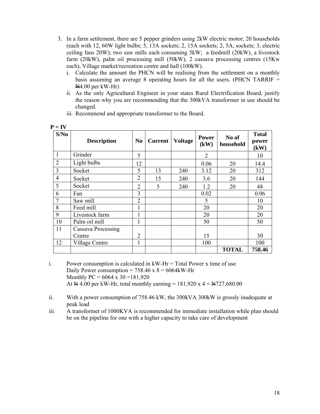- 3. In a farm settlement, there are 5 pepper grinders using 2kW electric motor; 20 households (each with 12, 60W light bulbs; 5, 13A sockets; 2, 15A sockets; 2, 5A, sockets; 3, electric ceiling fans 20W); two saw mills each consuming 5kW; a feedmill (20kW), a livestock farm (20kW), palm oil processing mill (50kW), 2 cassava processing centres (15Kw each), Village market/recreation centre and hall (100kW).
	- i. Calculate the amount the PHCN will be realising from the settlement on a monthly basis assuming an average 8 operating hours for all the users. (PHCN TARRIF  $=$ N4.00 per kW-Hr)
	- ii. As the only Agricultural Engineer in your states Rural Electrification Board, justify the reason why you are recommending that the 300kVA transformer in use should be changed.

| S/No           | <b>Description</b> | N <sub>0</sub> | <b>Current</b> | <b>Voltage</b> | <b>Power</b><br>(kW) | No of<br>household | <b>Total</b><br>power<br>(kW) |
|----------------|--------------------|----------------|----------------|----------------|----------------------|--------------------|-------------------------------|
| 1              | Grinder            | 5              |                |                | $\overline{2}$       |                    | 10                            |
| $\overline{2}$ | Light bulbs        | 12             |                |                | 0.06                 | 20                 | 14.4                          |
| 3              | Socket             | 5              | 13             | 240            | 3.12                 | 20                 | 312                           |
| $\overline{4}$ | Socket             | $\overline{2}$ | 15             | 240            | 3.6                  | 20                 | 144                           |
| 5              | Socket             | $\overline{2}$ | 5              | 240            | 1.2                  | 20                 | 48                            |
| 6              | Fan                | 3              |                |                | 0.02                 |                    | 0.06                          |
| 7              | Saw mill           | $\overline{2}$ |                |                | 5                    |                    | 10                            |
| 8              | Feed mill          |                |                |                | 20                   |                    | 20                            |
| 9              | Livestock farm     |                |                |                | 20                   |                    | 20                            |
| 10             | Palm oil mill      | 1              |                |                | 50                   |                    | 50                            |
| 11             | Cassava Processing |                |                |                |                      |                    |                               |
|                | Centre             | $\overline{2}$ |                |                | 15                   |                    | 30                            |
| 12             | Village Centre     | 1              |                |                | 100                  |                    | 100                           |
|                |                    |                |                |                |                      | <b>TOTAL</b>       | 758.46                        |

iii. Recommend and appropriate transformer to the Board.

i. Power consumption is calculated in  $kW-Hr = Total Power x$  time of use Daily Power consumption =  $758.46 \times 8 = 6064$  kW-Hr Monthly PC =  $6064 \times 30 = 181,920$ At  $\cancel{\text{A}}$  4.00 per kW-Hr, total monthly earning = 181,920 x 4 =  $\cancel{\text{A}}$ 727,680.00

ii. With a power consumption of 758.46 kW, the 300kVA 300kW is grossly inadequate at peak load

iii. A transformer of 1000KVA is recommended for immediate installation while plan should be on the pipeline for one with a higher capacity to take care of development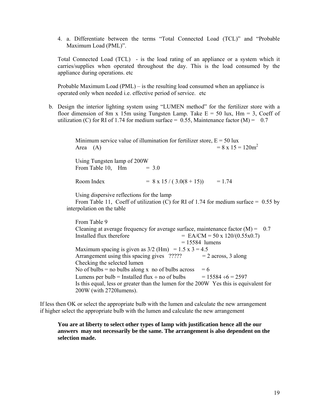4. a. Differentiate between the terms "Total Connected Load (TCL)" and "Probable Maximum Load (PML)".

Total Connected Load (TCL) - is the load rating of an appliance or a system which it carries/supplies when operated throughout the day. This is the load consumed by the appliance during operations. etc

Probable Maximum Load (PML) – is the resulting load consumed when an appliance is operated only when needed i.e. effective period of service. etc

b. Design the interior lighting system using "LUMEN method" for the fertilizer store with a floor dimension of 8m x 15m using Tungsten Lamp. Take  $E = 50$  lux,  $Hm = 3$ , Coeff of utilization (C) for RI of 1.74 for medium surface = 0.55, Maintenance factor (M) = 0.7

> Minimum service value of illumination for fertilizer store,  $E = 50$  lux Area (A)  $= 8 \times 15 = 120 \text{m}^2$

Using Tungsten lamp of 200W From Table 10,  $\text{Hm} = 3.0$ 

Room Index  $= 8 \times 15 / (3.0(8 + 15)) = 1.74$ 

Using dispersive reflections for the lamp

From Table 11, Coeff of utilization (C) for RI of 1.74 for medium surface =  $0.55$  by interpolation on the table

From Table 9 Cleaning at average frequency for average surface, maintenance factor  $(M) = 0.7$ Installed flux therefore  $= \text{EA}/\text{CM} = 50 \times 120/(0.55 \times 0.7)$  $= 15584$  lumens Maximum spacing is given as  $3/2$  (Hm) = 1.5 x 3 = 4.5 Arrangement using this spacing gives  $?$ ???? = 2 across, 3 along Checking the selected lumen No of bulbs = no bulbs along x no of bulbs across =  $6$ Lumens per bulb = Installed flux  $\div$  no of bulbs = 15584  $\div$ 6 = 2597 Is this equal, less or greater than the lumen for the 200W Yes this is equivalent for 200W (with 2720lumens).

If less then OK or select the appropriate bulb with the lumen and calculate the new arrangement if higher select the appropriate bulb with the lumen and calculate the new arrangement

**You are at liberty to select other types of lamp with justification hence all the our answers may not necessarily be the same. The arrangement is also dependent on the selection made.**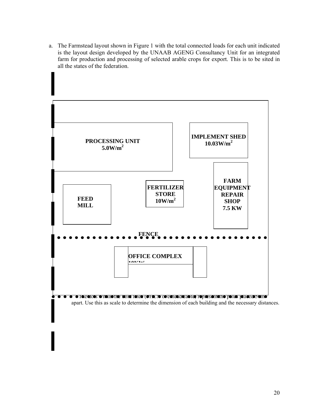a. The Farmstead layout shown in Figure 1 with the total connected loads for each unit indicated is the layout design developed by the UNAAB AGENG Consultancy Unit for an integrated farm for production and processing of selected arable crops for export. This is to be sited in all the states of the federation.

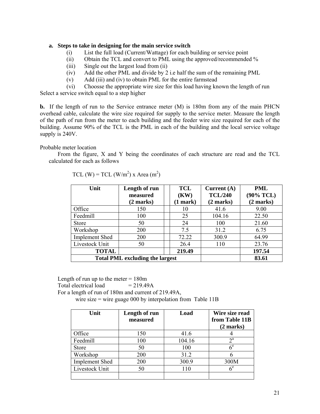### **a. Steps to take in designing for the main service switch**

- (i) List the full load (Current/Wattage) for each building or service point
- (ii) Obtain the TCL and convert to PML using the approved/recommended %
- (iii) Single out the largest load from (ii)
- (iv) Add the other PML and divide by 2 i.e half the sum of the remaining PML
- (v) Add (iii) and (iv) to obtain PML for the entire farmstead

(vi) Choosse the appropriate wire size for this load having known the length of run

Select a service switch equal to a step higher

**b.** If the length of run to the Service entrance meter (M) is 180m from any of the main PHCN overhead cable, calculate the wire size required for supply to the service meter. Measure the length of the path of run from the meter to each building and the feeder wire size required for each of the building. Assume 90% of the TCL is the PML in each of the building and the local service voltage supply is 240V.

Probable meter location

 From the figure, X and Y being the coordinates of each structure are read and the TCL calculated for each as follows

| Unit                  | Length of run<br>measured<br>(2 marks) | <b>TCL</b><br>(KW)<br>(1 mark) | Current $(A)$<br><b>TCL/240</b><br>(2 marks) | PML<br>$(90\%$ TCL)<br>(2 marks) |
|-----------------------|----------------------------------------|--------------------------------|----------------------------------------------|----------------------------------|
| Office                | 150                                    | 10                             | 41.6                                         | 9.00                             |
| Feedmill              | 100                                    | 25                             | 104.16                                       | 22.50                            |
| <b>Store</b>          | 50                                     | 24                             | 100                                          | 21.60                            |
| Workshop              | 200                                    | 7.5                            | 31.2                                         | 6.75                             |
| <b>Implement Shed</b> | 200                                    | 72.22                          | 300.9                                        | 64.99                            |
| Livestock Unit        | 50                                     | 26.4                           | 110                                          | 23.76                            |
| <b>TOTAL</b>          |                                        | 219.49                         |                                              | 197.54                           |
|                       | <b>Total PML excluding the largest</b> |                                | 83.61                                        |                                  |

| TCL (W) = TCL (W/m <sup>2</sup> ) x Area (m <sup>2</sup> ) |  |  |  |  |  |  |  |  |
|------------------------------------------------------------|--|--|--|--|--|--|--|--|
|------------------------------------------------------------|--|--|--|--|--|--|--|--|

Length of run up to the meter  $= 180$ m Total electrical load  $= 219.49A$  For a length of run of 180m and current of 219.49A, wire size = wire guage 000 by interpolation from Table 11B

| Unit                  | Length of run<br>measured | Load   | Wire size read<br>from Table 11B<br>$(2 \text{ marks})$ |
|-----------------------|---------------------------|--------|---------------------------------------------------------|
| Office                | 150                       | 41.6   |                                                         |
| Feedmill              | 100                       | 104.16 | $2^{\mathrm{a}}$                                        |
| <b>Store</b>          | 50                        | 100    | $\epsilon^{\rm e}$                                      |
| Workshop              | 200                       | 31.2   |                                                         |
| <b>Implement Shed</b> | 200                       | 300.9  | 300M                                                    |
| Livestock Unit        | 50                        | 110    | $\epsilon^e$                                            |
|                       |                           |        |                                                         |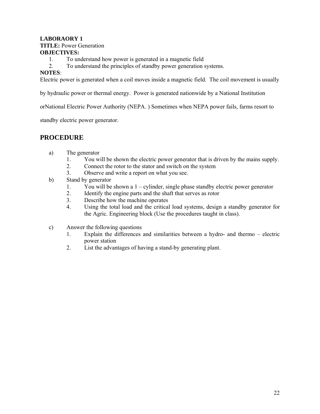### **LABORAORY 1 TITLE:** Power Generation **OBJECTIVES:**

- 1. To understand how power is generated in a magnetic field
- 2. To understand the principles of standby power generation systems.

### **NOTES**:

Electric power is generated when a coil moves inside a magnetic field. The coil movement is usually

by hydraulic power or thermal energy. Power is generated nationwide by a National Institution

orNational Electric Power Authority (NEPA. ) Sometimes when NEPA power fails, farms resort to

standby electric power generator.

### **PROCEDURE**

- a) The generator
	- 1. You will be shown the electric power generator that is driven by the mains supply.
	- 2. Connect the rotor to the stator and switch on the system
	- 3. Observe and write a report on what you see.
- b) Stand by generator
	- 1. You will be shown a 1 cylinder, single phase standby electric power generator
	- 2. Identify the engine parts and the shaft that serves as rotor
	- 3. Describe how the machine operates
	- 4. Using the total load and the critical load systems, design a standby generator for the Agric. Engineering block (Use the procedures taught in class).
- c) Answer the following questions
	- 1. Explain the differences and similarities between a hydro- and thermo electric power station
	- 2. List the advantages of having a stand-by generating plant.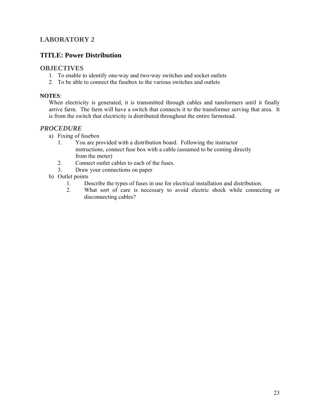### **LABORATORY 2**

### **TITLE: Power Distribution**

### **OBJECTIVES**

- 1. To enable to identify one-way and two-way switches and socket outlets
- 2. To be able to connect the fusebox to the various switches and outlets

### **NOTES**:

When electricity is generated, it is transmitted through cables and tansformers until it finally arrive farm. The farm will have a switch that connects it to the transformer serving that area. It is from the switch that electricity is distributed throughout the entire farmstead.

### *PROCEDURE*

- a) Fixing of fusebox
	- 1. You are provided with a distribution board. Following the instructor instructions, connect fuse box with a cable (assumed to be coming directly from the meter)
	- 2. Connect outlet cables to each of the fuses.
	- 3. Draw your connections on paper
- b) Outlet points
	- 1. Describe the types of fuses in use for electrical installation and distribution.
	- 2. What sort of care is necessary to avoid electric shock while connecting or disconnecting cables?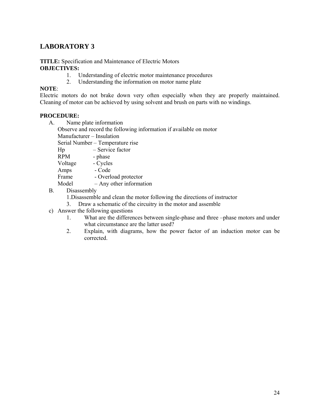### **LABORATORY 3**

#### **TITLE:** Specification and Maintenance of Electric Motors **OBJECTIVES:**

- 1. Understanding of electric motor maintenance procedures
- 2. Understanding the information on motor name plate

### **NOTE**:

Electric motors do not brake down very often especially when they are properly maintained. Cleaning of motor can be achieved by using solvent and brush on parts with no windings.

### **PROCEDURE:**

- A. Name plate information
	- Observe and record the following information if available on motor

Manufacturer – Insulation

Serial Number – Temperature rise

- Hp Service factor
- RPM phase

Voltage - Cycles

Amps - Code

Frame - Overload protector

Model – Any other information

- B. Disassembly
	- 1.Disassemble and clean the motor following the directions of instructor
	- 3. Draw a schematic of the circuitry in the motor and assemble
- c) Answer the following questions
	- 1. What are the differences between single-phase and three –phase motors and under what circumstance are the latter used?
	- 2. Explain, with diagrams, how the power factor of an induction motor can be corrected.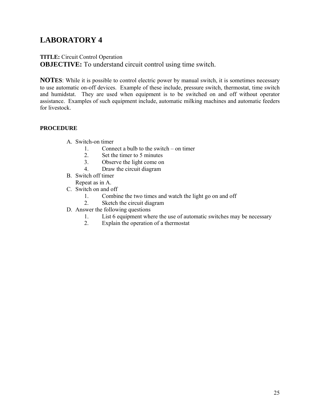# **LABORATORY 4**

# **TITLE:** Circuit Control Operation

**OBJECTIVE:** To understand circuit control using time switch.

**NOTES**: While it is possible to control electric power by manual switch, it is sometimes necessary to use automatic on-off devices. Example of these include, pressure switch, thermostat, time switch and humidstat. They are used when equipment is to be switched on and off without operator assistance. Examples of such equipment include, automatic milking machines and automatic feeders for livestock.

### **PROCEDURE**

- A. Switch-on timer
	- 1. Connect a bulb to the switch on timer
	- 2. Set the timer to 5 minutes
	- 3. Observe the light come on
	- 4. Draw the circuit diagram
- B. Switch off timer
	- Repeat as in A.
- C. Switch on and off
	- 1. Combine the two times and watch the light go on and off
	- 2. Sketch the circuit diagram
- D. Answer the following questions
	- 1. List 6 equipment where the use of automatic switches may be necessary
	- 2. Explain the operation of a thermostat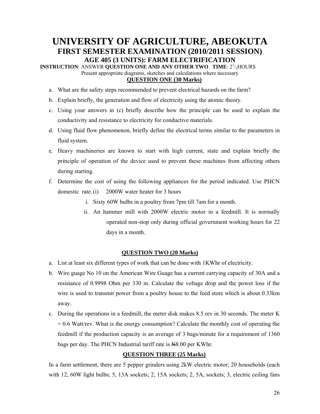## **UNIVERSITY OF AGRICULTURE, ABEOKUTA FIRST SEMESTER EXAMINATION (2010/2011 SESSION) AGE 405 (3 UNITS): FARM ELECTRIFICATION**

**INSTRUCTION: ANSWER QUESTION ONE AND ANY OTHER TWO TIME: 2<sup>1</sup>/<sub>2</sub>HOURS** Present appropriate diagrams, sketches and calculations where necessary

### **QUESTION ONE (30 Marks)**

- a. What are the safety steps recommended to prevent electrical hazards on the farm?
- b. Explain briefly, the generation and flow of electricity using the atomic theory.
- c. Using your answers in (c) briefly describe how the principle can be used to explain the conductivity and resistance to electricity for conductive materials.
- d. Using fluid flow phenomenon, briefly define the electrical terms similar to the parameters in fluid system.
- e. Heavy machineries are known to start with high current, state and explain briefly the principle of operation of the device used to prevent these machines from affecting others during starting.
- f. Determine the cost of using the following appliances for the period indicated. Use PHCN domestic rate. (i) 2000W water heater for 3 hours
	- i. Sixty 60W bulbs in a poultry from 7pm till 7am for a month.
	- ii. An hammer mill with 2000W electric motor in a feedmill. It is normally operated non-stop only during official government working hours for 22 days in a month.

### **QUESTION TWO (20 Marks)**

- a. List at least six different types of work that can be done with 1KWhr of electricity.
- b. Wire guage No 10 on the American Wire Guage has a current carrying capacity of 30A and a resistance of 0.9998 Ohm per 330 m. Calculate the voltage drop and the power loss if the wire is used to transmit power from a poultry house to the feed store which is about 0.33km away.
- c. During the operations in a feedmill, the meter disk makes 8.5 rev in 30 seconds. The meter K  $= 0.6$  Watt/rev. What is the energy consumption? Calculate the monthly cost of operating the feedmill if the production capacity is an average of 3 bags/minute for a requirement of 1360 bags per day. The PHCN Industrial tariff rate is N8.00 per KWhr.

### **QUESTION THREE (25 Marks)**

In a farm settlement, there are 5 pepper grinders using 2kW electric motor; 20 households (each with 12, 60W light bulbs; 5, 13A sockets; 2, 15A sockets; 2, 5A, sockets; 3, electric ceiling fans